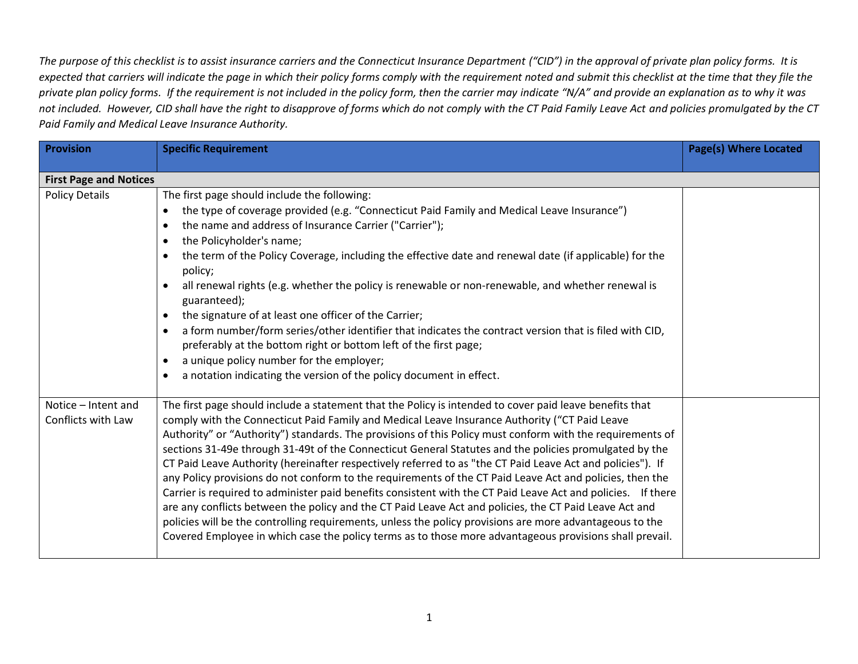*The purpose of this checklist is to assist insurance carriers and the Connecticut Insurance Department ("CID") in the approval of private plan policy forms. It is*  expected that carriers will indicate the page in which their policy forms comply with the requirement noted and submit this checklist at the time that they file the private plan policy forms. If the requirement is not included in the policy form, then the carrier may indicate "N/A" and provide an explanation as to why it was *not included. However, CID shall have the right to disapprove of forms which do not comply with the CT Paid Family Leave Act and policies promulgated by the CT Paid Family and Medical Leave Insurance Authority.*

| <b>Provision</b>                                       | <b>Specific Requirement</b>                                                                                                                                                                                                                                                                                                                                                                                                                                                                                                                                                                                                                                                                                                                                                                                                                                                                                                                                                                                                                                                                                | <b>Page(s) Where Located</b> |
|--------------------------------------------------------|------------------------------------------------------------------------------------------------------------------------------------------------------------------------------------------------------------------------------------------------------------------------------------------------------------------------------------------------------------------------------------------------------------------------------------------------------------------------------------------------------------------------------------------------------------------------------------------------------------------------------------------------------------------------------------------------------------------------------------------------------------------------------------------------------------------------------------------------------------------------------------------------------------------------------------------------------------------------------------------------------------------------------------------------------------------------------------------------------------|------------------------------|
|                                                        |                                                                                                                                                                                                                                                                                                                                                                                                                                                                                                                                                                                                                                                                                                                                                                                                                                                                                                                                                                                                                                                                                                            |                              |
| <b>First Page and Notices</b><br><b>Policy Details</b> | The first page should include the following:<br>the type of coverage provided (e.g. "Connecticut Paid Family and Medical Leave Insurance")<br>the name and address of Insurance Carrier ("Carrier");<br>the Policyholder's name;<br>$\bullet$<br>the term of the Policy Coverage, including the effective date and renewal date (if applicable) for the<br>policy;<br>all renewal rights (e.g. whether the policy is renewable or non-renewable, and whether renewal is<br>guaranteed);<br>the signature of at least one officer of the Carrier;<br>$\bullet$<br>a form number/form series/other identifier that indicates the contract version that is filed with CID,<br>$\bullet$<br>preferably at the bottom right or bottom left of the first page;<br>a unique policy number for the employer;<br>$\bullet$<br>a notation indicating the version of the policy document in effect.<br>$\bullet$                                                                                                                                                                                                      |                              |
| Notice - Intent and<br>Conflicts with Law              | The first page should include a statement that the Policy is intended to cover paid leave benefits that<br>comply with the Connecticut Paid Family and Medical Leave Insurance Authority ("CT Paid Leave<br>Authority" or "Authority") standards. The provisions of this Policy must conform with the requirements of<br>sections 31-49e through 31-49t of the Connecticut General Statutes and the policies promulgated by the<br>CT Paid Leave Authority (hereinafter respectively referred to as "the CT Paid Leave Act and policies"). If<br>any Policy provisions do not conform to the requirements of the CT Paid Leave Act and policies, then the<br>Carrier is required to administer paid benefits consistent with the CT Paid Leave Act and policies. If there<br>are any conflicts between the policy and the CT Paid Leave Act and policies, the CT Paid Leave Act and<br>policies will be the controlling requirements, unless the policy provisions are more advantageous to the<br>Covered Employee in which case the policy terms as to those more advantageous provisions shall prevail. |                              |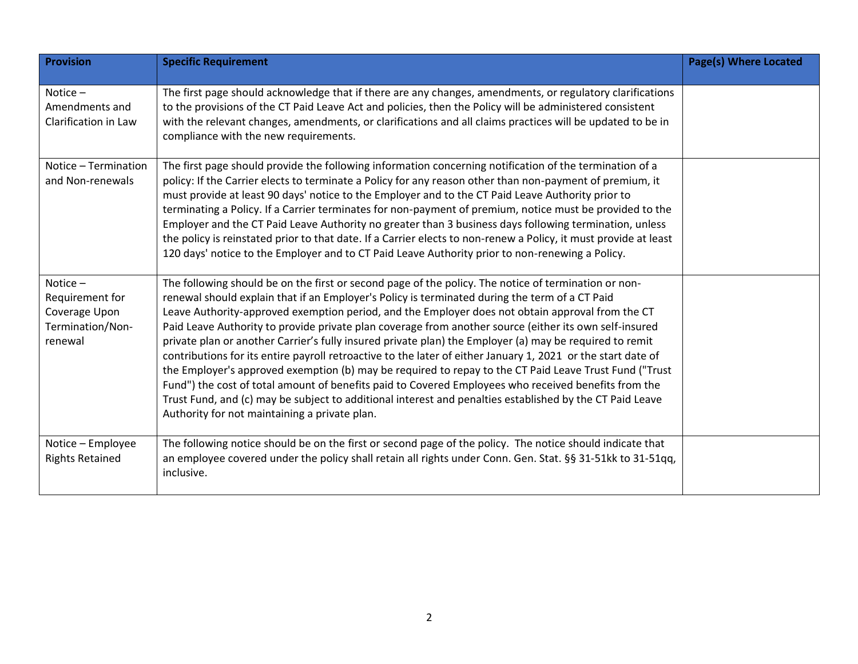| <b>Provision</b>                                                              | <b>Specific Requirement</b>                                                                                                                                                                                                                                                                                                                                                                                                                                                                                                                                                                                                                                                                                                                                                                                                                                                                                                                                                                                                    | <b>Page(s) Where Located</b> |
|-------------------------------------------------------------------------------|--------------------------------------------------------------------------------------------------------------------------------------------------------------------------------------------------------------------------------------------------------------------------------------------------------------------------------------------------------------------------------------------------------------------------------------------------------------------------------------------------------------------------------------------------------------------------------------------------------------------------------------------------------------------------------------------------------------------------------------------------------------------------------------------------------------------------------------------------------------------------------------------------------------------------------------------------------------------------------------------------------------------------------|------------------------------|
| Notice-<br>Amendments and<br>Clarification in Law                             | The first page should acknowledge that if there are any changes, amendments, or regulatory clarifications<br>to the provisions of the CT Paid Leave Act and policies, then the Policy will be administered consistent<br>with the relevant changes, amendments, or clarifications and all claims practices will be updated to be in<br>compliance with the new requirements.                                                                                                                                                                                                                                                                                                                                                                                                                                                                                                                                                                                                                                                   |                              |
| Notice - Termination<br>and Non-renewals                                      | The first page should provide the following information concerning notification of the termination of a<br>policy: If the Carrier elects to terminate a Policy for any reason other than non-payment of premium, it<br>must provide at least 90 days' notice to the Employer and to the CT Paid Leave Authority prior to<br>terminating a Policy. If a Carrier terminates for non-payment of premium, notice must be provided to the<br>Employer and the CT Paid Leave Authority no greater than 3 business days following termination, unless<br>the policy is reinstated prior to that date. If a Carrier elects to non-renew a Policy, it must provide at least<br>120 days' notice to the Employer and to CT Paid Leave Authority prior to non-renewing a Policy.                                                                                                                                                                                                                                                          |                              |
| Notice $-$<br>Requirement for<br>Coverage Upon<br>Termination/Non-<br>renewal | The following should be on the first or second page of the policy. The notice of termination or non-<br>renewal should explain that if an Employer's Policy is terminated during the term of a CT Paid<br>Leave Authority-approved exemption period, and the Employer does not obtain approval from the CT<br>Paid Leave Authority to provide private plan coverage from another source (either its own self-insured<br>private plan or another Carrier's fully insured private plan) the Employer (a) may be required to remit<br>contributions for its entire payroll retroactive to the later of either January 1, 2021 or the start date of<br>the Employer's approved exemption (b) may be required to repay to the CT Paid Leave Trust Fund ("Trust<br>Fund") the cost of total amount of benefits paid to Covered Employees who received benefits from the<br>Trust Fund, and (c) may be subject to additional interest and penalties established by the CT Paid Leave<br>Authority for not maintaining a private plan. |                              |
| Notice - Employee<br><b>Rights Retained</b>                                   | The following notice should be on the first or second page of the policy. The notice should indicate that<br>an employee covered under the policy shall retain all rights under Conn. Gen. Stat. §§ 31-51kk to 31-51qq,<br>inclusive.                                                                                                                                                                                                                                                                                                                                                                                                                                                                                                                                                                                                                                                                                                                                                                                          |                              |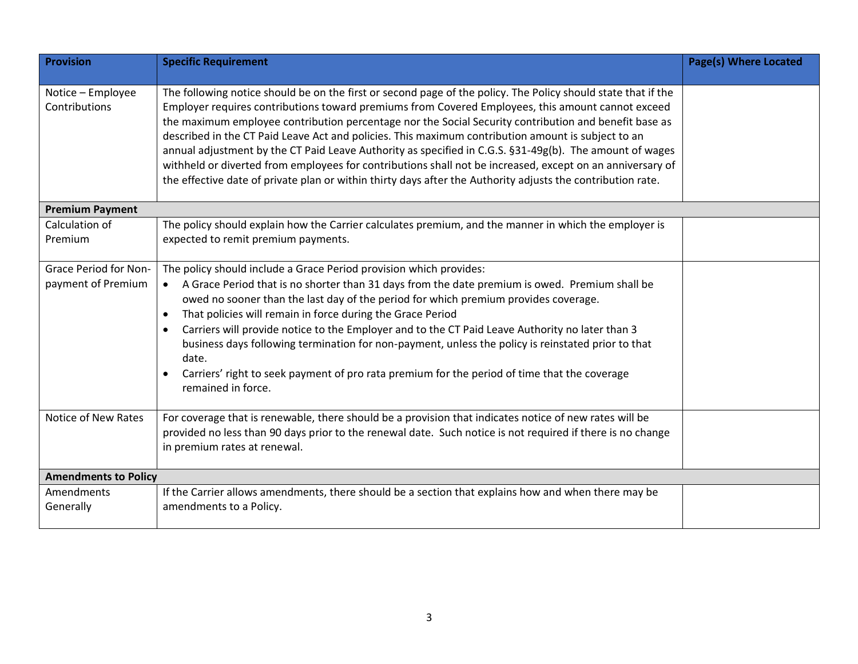| <b>Provision</b>                            | <b>Specific Requirement</b>                                                                                                                                                                                                                                                                                                                                                                                                                                                                                                                                                                                                                                                                                                                                              | <b>Page(s) Where Located</b> |
|---------------------------------------------|--------------------------------------------------------------------------------------------------------------------------------------------------------------------------------------------------------------------------------------------------------------------------------------------------------------------------------------------------------------------------------------------------------------------------------------------------------------------------------------------------------------------------------------------------------------------------------------------------------------------------------------------------------------------------------------------------------------------------------------------------------------------------|------------------------------|
| Notice - Employee<br>Contributions          | The following notice should be on the first or second page of the policy. The Policy should state that if the<br>Employer requires contributions toward premiums from Covered Employees, this amount cannot exceed<br>the maximum employee contribution percentage nor the Social Security contribution and benefit base as<br>described in the CT Paid Leave Act and policies. This maximum contribution amount is subject to an<br>annual adjustment by the CT Paid Leave Authority as specified in C.G.S. §31-49g(b). The amount of wages<br>withheld or diverted from employees for contributions shall not be increased, except on an anniversary of<br>the effective date of private plan or within thirty days after the Authority adjusts the contribution rate. |                              |
| <b>Premium Payment</b>                      |                                                                                                                                                                                                                                                                                                                                                                                                                                                                                                                                                                                                                                                                                                                                                                          |                              |
| Calculation of<br>Premium                   | The policy should explain how the Carrier calculates premium, and the manner in which the employer is<br>expected to remit premium payments.                                                                                                                                                                                                                                                                                                                                                                                                                                                                                                                                                                                                                             |                              |
| Grace Period for Non-<br>payment of Premium | The policy should include a Grace Period provision which provides:<br>A Grace Period that is no shorter than 31 days from the date premium is owed. Premium shall be<br>$\bullet$<br>owed no sooner than the last day of the period for which premium provides coverage.<br>That policies will remain in force during the Grace Period<br>Carriers will provide notice to the Employer and to the CT Paid Leave Authority no later than 3<br>business days following termination for non-payment, unless the policy is reinstated prior to that<br>date.<br>Carriers' right to seek payment of pro rata premium for the period of time that the coverage<br>remained in force.                                                                                           |                              |
| Notice of New Rates                         | For coverage that is renewable, there should be a provision that indicates notice of new rates will be<br>provided no less than 90 days prior to the renewal date. Such notice is not required if there is no change<br>in premium rates at renewal.                                                                                                                                                                                                                                                                                                                                                                                                                                                                                                                     |                              |
| <b>Amendments to Policy</b>                 |                                                                                                                                                                                                                                                                                                                                                                                                                                                                                                                                                                                                                                                                                                                                                                          |                              |
| <b>Amendments</b><br>Generally              | If the Carrier allows amendments, there should be a section that explains how and when there may be<br>amendments to a Policy.                                                                                                                                                                                                                                                                                                                                                                                                                                                                                                                                                                                                                                           |                              |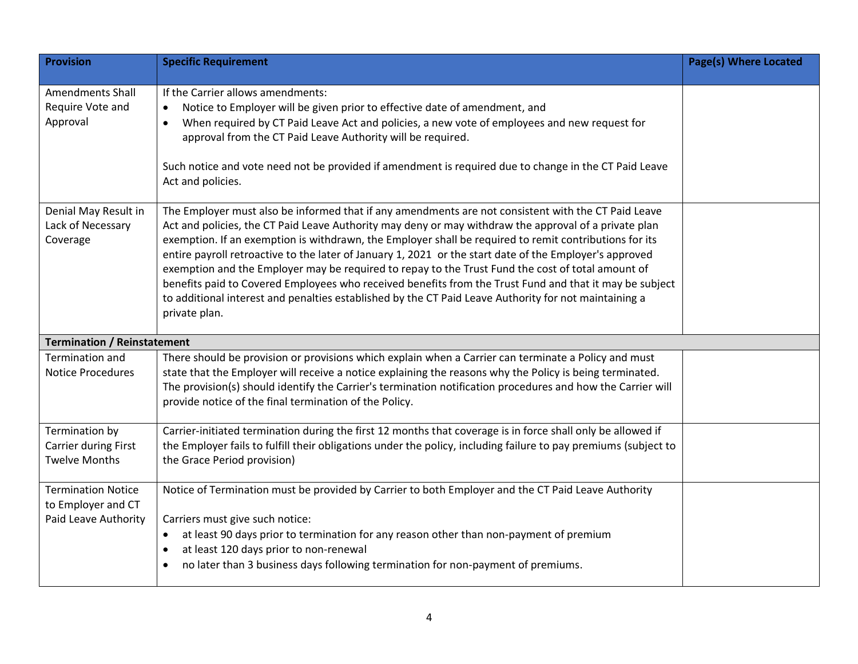| <b>Provision</b>                                                        | <b>Specific Requirement</b>                                                                                                                                                                                                                                                                                                                                                                                                                                                                                                                                                                                                                                                                                                                                                 | <b>Page(s) Where Located</b> |
|-------------------------------------------------------------------------|-----------------------------------------------------------------------------------------------------------------------------------------------------------------------------------------------------------------------------------------------------------------------------------------------------------------------------------------------------------------------------------------------------------------------------------------------------------------------------------------------------------------------------------------------------------------------------------------------------------------------------------------------------------------------------------------------------------------------------------------------------------------------------|------------------------------|
| <b>Amendments Shall</b><br>Require Vote and<br>Approval                 | If the Carrier allows amendments:<br>Notice to Employer will be given prior to effective date of amendment, and<br>When required by CT Paid Leave Act and policies, a new vote of employees and new request for<br>approval from the CT Paid Leave Authority will be required.<br>Such notice and vote need not be provided if amendment is required due to change in the CT Paid Leave<br>Act and policies.                                                                                                                                                                                                                                                                                                                                                                |                              |
| Denial May Result in<br>Lack of Necessary<br>Coverage                   | The Employer must also be informed that if any amendments are not consistent with the CT Paid Leave<br>Act and policies, the CT Paid Leave Authority may deny or may withdraw the approval of a private plan<br>exemption. If an exemption is withdrawn, the Employer shall be required to remit contributions for its<br>entire payroll retroactive to the later of January 1, 2021 or the start date of the Employer's approved<br>exemption and the Employer may be required to repay to the Trust Fund the cost of total amount of<br>benefits paid to Covered Employees who received benefits from the Trust Fund and that it may be subject<br>to additional interest and penalties established by the CT Paid Leave Authority for not maintaining a<br>private plan. |                              |
| <b>Termination / Reinstatement</b>                                      |                                                                                                                                                                                                                                                                                                                                                                                                                                                                                                                                                                                                                                                                                                                                                                             |                              |
| <b>Termination and</b><br><b>Notice Procedures</b>                      | There should be provision or provisions which explain when a Carrier can terminate a Policy and must<br>state that the Employer will receive a notice explaining the reasons why the Policy is being terminated.<br>The provision(s) should identify the Carrier's termination notification procedures and how the Carrier will<br>provide notice of the final termination of the Policy.                                                                                                                                                                                                                                                                                                                                                                                   |                              |
| Termination by<br>Carrier during First<br><b>Twelve Months</b>          | Carrier-initiated termination during the first 12 months that coverage is in force shall only be allowed if<br>the Employer fails to fulfill their obligations under the policy, including failure to pay premiums (subject to<br>the Grace Period provision)                                                                                                                                                                                                                                                                                                                                                                                                                                                                                                               |                              |
| <b>Termination Notice</b><br>to Employer and CT<br>Paid Leave Authority | Notice of Termination must be provided by Carrier to both Employer and the CT Paid Leave Authority<br>Carriers must give such notice:<br>at least 90 days prior to termination for any reason other than non-payment of premium<br>$\bullet$<br>at least 120 days prior to non-renewal<br>no later than 3 business days following termination for non-payment of premiums.                                                                                                                                                                                                                                                                                                                                                                                                  |                              |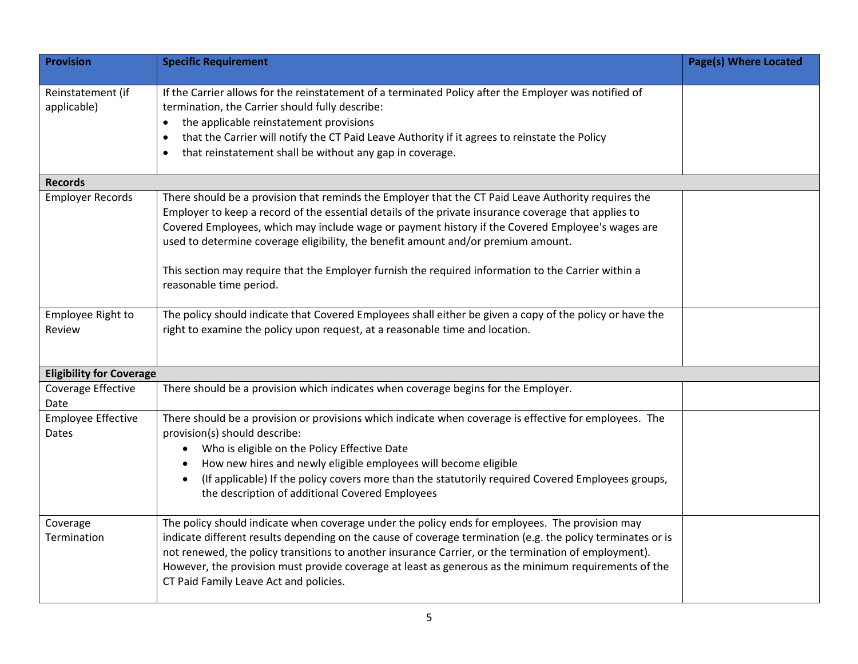| <b>Provision</b>                   | <b>Specific Requirement</b>                                                                                                                                                                                                                                                                                                                                                                                                                                                                                                            | <b>Page(s) Where Located</b> |
|------------------------------------|----------------------------------------------------------------------------------------------------------------------------------------------------------------------------------------------------------------------------------------------------------------------------------------------------------------------------------------------------------------------------------------------------------------------------------------------------------------------------------------------------------------------------------------|------------------------------|
| Reinstatement (if<br>applicable)   | If the Carrier allows for the reinstatement of a terminated Policy after the Employer was notified of<br>termination, the Carrier should fully describe:<br>the applicable reinstatement provisions<br>$\bullet$<br>that the Carrier will notify the CT Paid Leave Authority if it agrees to reinstate the Policy<br>$\bullet$<br>that reinstatement shall be without any gap in coverage.<br>$\bullet$                                                                                                                                |                              |
| <b>Records</b>                     |                                                                                                                                                                                                                                                                                                                                                                                                                                                                                                                                        |                              |
| <b>Employer Records</b>            | There should be a provision that reminds the Employer that the CT Paid Leave Authority requires the<br>Employer to keep a record of the essential details of the private insurance coverage that applies to<br>Covered Employees, which may include wage or payment history if the Covered Employee's wages are<br>used to determine coverage eligibility, the benefit amount and/or premium amount.<br>This section may require that the Employer furnish the required information to the Carrier within a<br>reasonable time period. |                              |
| Employee Right to<br>Review        | The policy should indicate that Covered Employees shall either be given a copy of the policy or have the<br>right to examine the policy upon request, at a reasonable time and location.                                                                                                                                                                                                                                                                                                                                               |                              |
| <b>Eligibility for Coverage</b>    |                                                                                                                                                                                                                                                                                                                                                                                                                                                                                                                                        |                              |
| Coverage Effective<br>Date         | There should be a provision which indicates when coverage begins for the Employer.                                                                                                                                                                                                                                                                                                                                                                                                                                                     |                              |
| <b>Employee Effective</b><br>Dates | There should be a provision or provisions which indicate when coverage is effective for employees. The<br>provision(s) should describe:<br>Who is eligible on the Policy Effective Date<br>$\bullet$<br>How new hires and newly eligible employees will become eligible<br>(If applicable) If the policy covers more than the statutorily required Covered Employees groups,<br>the description of additional Covered Employees                                                                                                        |                              |
| Coverage<br>Termination            | The policy should indicate when coverage under the policy ends for employees. The provision may<br>indicate different results depending on the cause of coverage termination (e.g. the policy terminates or is<br>not renewed, the policy transitions to another insurance Carrier, or the termination of employment).<br>However, the provision must provide coverage at least as generous as the minimum requirements of the<br>CT Paid Family Leave Act and policies.                                                               |                              |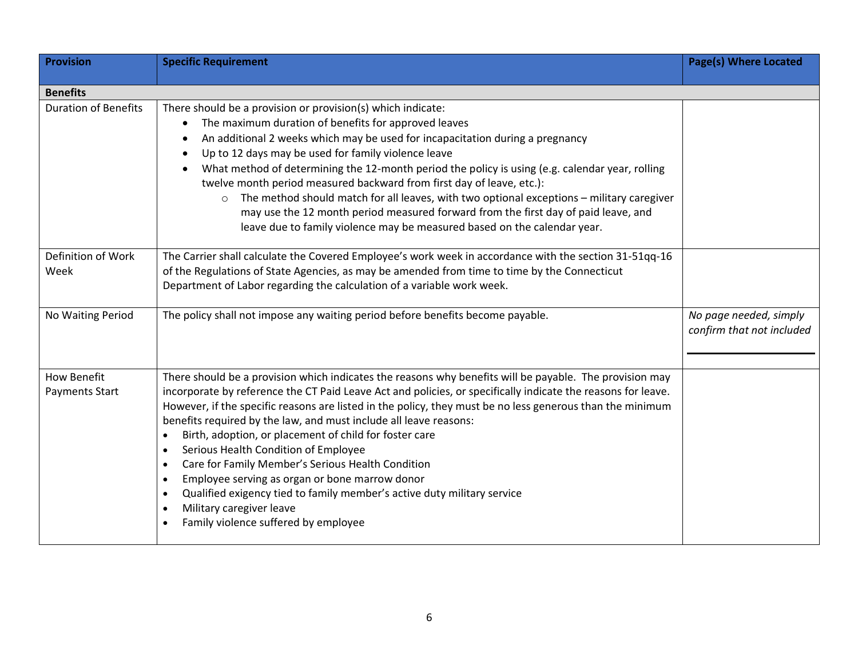| <b>Provision</b>            | <b>Specific Requirement</b>                                                                                  | <b>Page(s) Where Located</b> |
|-----------------------------|--------------------------------------------------------------------------------------------------------------|------------------------------|
|                             |                                                                                                              |                              |
| <b>Benefits</b>             |                                                                                                              |                              |
| <b>Duration of Benefits</b> | There should be a provision or provision(s) which indicate:                                                  |                              |
|                             | The maximum duration of benefits for approved leaves<br>$\bullet$                                            |                              |
|                             | An additional 2 weeks which may be used for incapacitation during a pregnancy                                |                              |
|                             | Up to 12 days may be used for family violence leave                                                          |                              |
|                             | What method of determining the 12-month period the policy is using (e.g. calendar year, rolling<br>$\bullet$ |                              |
|                             | twelve month period measured backward from first day of leave, etc.):                                        |                              |
|                             | The method should match for all leaves, with two optional exceptions - military caregiver<br>$\circ$         |                              |
|                             | may use the 12 month period measured forward from the first day of paid leave, and                           |                              |
|                             | leave due to family violence may be measured based on the calendar year.                                     |                              |
|                             |                                                                                                              |                              |
| Definition of Work          | The Carrier shall calculate the Covered Employee's work week in accordance with the section 31-51qq-16       |                              |
| Week                        | of the Regulations of State Agencies, as may be amended from time to time by the Connecticut                 |                              |
|                             | Department of Labor regarding the calculation of a variable work week.                                       |                              |
|                             |                                                                                                              |                              |
| No Waiting Period           | The policy shall not impose any waiting period before benefits become payable.                               | No page needed, simply       |
|                             |                                                                                                              | confirm that not included    |
|                             |                                                                                                              |                              |
|                             |                                                                                                              |                              |
| <b>How Benefit</b>          | There should be a provision which indicates the reasons why benefits will be payable. The provision may      |                              |
| Payments Start              | incorporate by reference the CT Paid Leave Act and policies, or specifically indicate the reasons for leave. |                              |
|                             | However, if the specific reasons are listed in the policy, they must be no less generous than the minimum    |                              |
|                             | benefits required by the law, and must include all leave reasons:                                            |                              |
|                             | Birth, adoption, or placement of child for foster care<br>$\bullet$                                          |                              |
|                             | Serious Health Condition of Employee<br>$\bullet$                                                            |                              |
|                             | Care for Family Member's Serious Health Condition<br>$\bullet$                                               |                              |
|                             | Employee serving as organ or bone marrow donor<br>$\bullet$                                                  |                              |
|                             | Qualified exigency tied to family member's active duty military service                                      |                              |
|                             | Military caregiver leave                                                                                     |                              |
|                             | Family violence suffered by employee                                                                         |                              |
|                             |                                                                                                              |                              |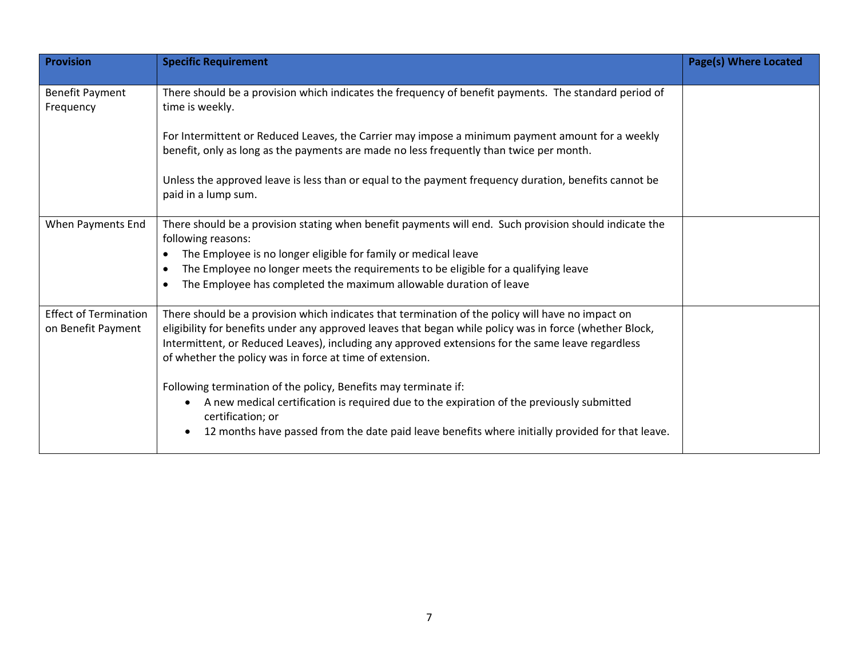| <b>Provision</b>                                   | <b>Specific Requirement</b>                                                                                                                                                                                                                                                                                                                                                   | <b>Page(s) Where Located</b> |
|----------------------------------------------------|-------------------------------------------------------------------------------------------------------------------------------------------------------------------------------------------------------------------------------------------------------------------------------------------------------------------------------------------------------------------------------|------------------------------|
| <b>Benefit Payment</b><br>Frequency                | There should be a provision which indicates the frequency of benefit payments. The standard period of<br>time is weekly.                                                                                                                                                                                                                                                      |                              |
|                                                    | For Intermittent or Reduced Leaves, the Carrier may impose a minimum payment amount for a weekly<br>benefit, only as long as the payments are made no less frequently than twice per month.                                                                                                                                                                                   |                              |
|                                                    | Unless the approved leave is less than or equal to the payment frequency duration, benefits cannot be<br>paid in a lump sum.                                                                                                                                                                                                                                                  |                              |
| When Payments End                                  | There should be a provision stating when benefit payments will end. Such provision should indicate the<br>following reasons:<br>The Employee is no longer eligible for family or medical leave<br>The Employee no longer meets the requirements to be eligible for a qualifying leave<br>The Employee has completed the maximum allowable duration of leave                   |                              |
| <b>Effect of Termination</b><br>on Benefit Payment | There should be a provision which indicates that termination of the policy will have no impact on<br>eligibility for benefits under any approved leaves that began while policy was in force (whether Block,<br>Intermittent, or Reduced Leaves), including any approved extensions for the same leave regardless<br>of whether the policy was in force at time of extension. |                              |
|                                                    | Following termination of the policy, Benefits may terminate if:<br>A new medical certification is required due to the expiration of the previously submitted<br>certification; or<br>12 months have passed from the date paid leave benefits where initially provided for that leave.                                                                                         |                              |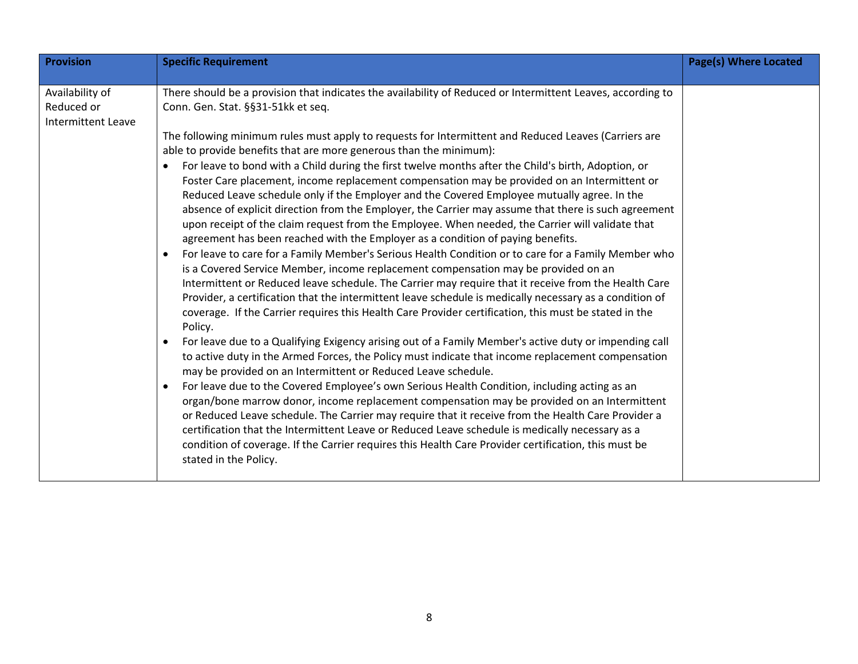| <b>Provision</b>                                           | <b>Specific Requirement</b>                                                                                                                                                                                                                                                                                                                                                                                                                                                                                                                                                                                                                                                                                                                                                                                                                                                                                                                                                                                                                                                                                                                                                                                                                                                                                                                                                                                                                                                                                                                                                                                                                                                                                                                                                                                                                                                                                                                                                                                                                                                                                                                                                                                                                                                                                   | <b>Page(s) Where Located</b> |
|------------------------------------------------------------|---------------------------------------------------------------------------------------------------------------------------------------------------------------------------------------------------------------------------------------------------------------------------------------------------------------------------------------------------------------------------------------------------------------------------------------------------------------------------------------------------------------------------------------------------------------------------------------------------------------------------------------------------------------------------------------------------------------------------------------------------------------------------------------------------------------------------------------------------------------------------------------------------------------------------------------------------------------------------------------------------------------------------------------------------------------------------------------------------------------------------------------------------------------------------------------------------------------------------------------------------------------------------------------------------------------------------------------------------------------------------------------------------------------------------------------------------------------------------------------------------------------------------------------------------------------------------------------------------------------------------------------------------------------------------------------------------------------------------------------------------------------------------------------------------------------------------------------------------------------------------------------------------------------------------------------------------------------------------------------------------------------------------------------------------------------------------------------------------------------------------------------------------------------------------------------------------------------------------------------------------------------------------------------------------------------|------------------------------|
|                                                            |                                                                                                                                                                                                                                                                                                                                                                                                                                                                                                                                                                                                                                                                                                                                                                                                                                                                                                                                                                                                                                                                                                                                                                                                                                                                                                                                                                                                                                                                                                                                                                                                                                                                                                                                                                                                                                                                                                                                                                                                                                                                                                                                                                                                                                                                                                               |                              |
| Availability of<br>Reduced or<br><b>Intermittent Leave</b> | There should be a provision that indicates the availability of Reduced or Intermittent Leaves, according to<br>Conn. Gen. Stat. §§31-51kk et seq.<br>The following minimum rules must apply to requests for Intermittent and Reduced Leaves (Carriers are<br>able to provide benefits that are more generous than the minimum):<br>For leave to bond with a Child during the first twelve months after the Child's birth, Adoption, or<br>Foster Care placement, income replacement compensation may be provided on an Intermittent or<br>Reduced Leave schedule only if the Employer and the Covered Employee mutually agree. In the<br>absence of explicit direction from the Employer, the Carrier may assume that there is such agreement<br>upon receipt of the claim request from the Employee. When needed, the Carrier will validate that<br>agreement has been reached with the Employer as a condition of paying benefits.<br>For leave to care for a Family Member's Serious Health Condition or to care for a Family Member who<br>$\bullet$<br>is a Covered Service Member, income replacement compensation may be provided on an<br>Intermittent or Reduced leave schedule. The Carrier may require that it receive from the Health Care<br>Provider, a certification that the intermittent leave schedule is medically necessary as a condition of<br>coverage. If the Carrier requires this Health Care Provider certification, this must be stated in the<br>Policy.<br>For leave due to a Qualifying Exigency arising out of a Family Member's active duty or impending call<br>to active duty in the Armed Forces, the Policy must indicate that income replacement compensation<br>may be provided on an Intermittent or Reduced Leave schedule.<br>For leave due to the Covered Employee's own Serious Health Condition, including acting as an<br>organ/bone marrow donor, income replacement compensation may be provided on an Intermittent<br>or Reduced Leave schedule. The Carrier may require that it receive from the Health Care Provider a<br>certification that the Intermittent Leave or Reduced Leave schedule is medically necessary as a<br>condition of coverage. If the Carrier requires this Health Care Provider certification, this must be<br>stated in the Policy. |                              |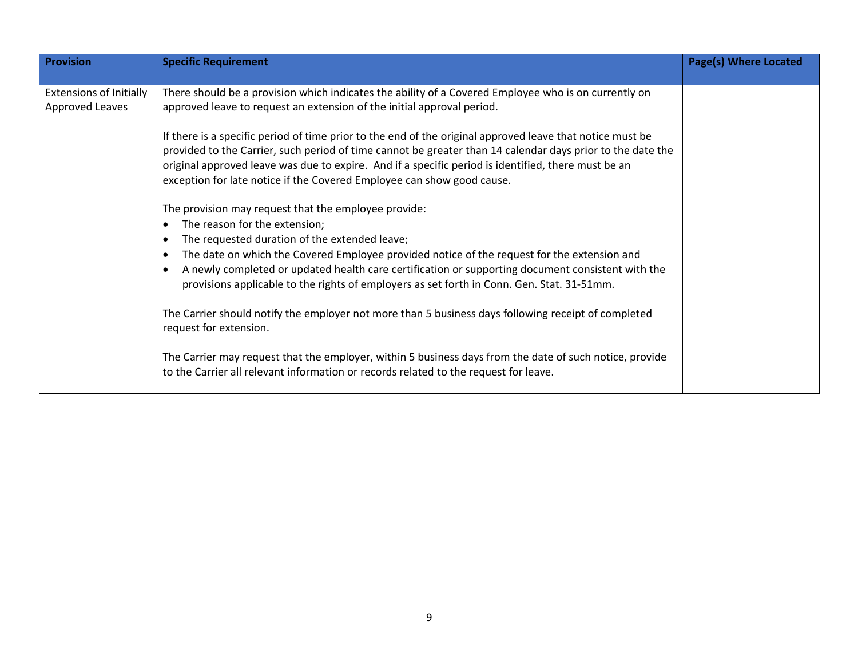| <b>Provision</b>                                  | <b>Specific Requirement</b>                                                                                                                                                                                                                                                                                                                                                                                                                                                                                                                                                                | <b>Page(s) Where Located</b> |
|---------------------------------------------------|--------------------------------------------------------------------------------------------------------------------------------------------------------------------------------------------------------------------------------------------------------------------------------------------------------------------------------------------------------------------------------------------------------------------------------------------------------------------------------------------------------------------------------------------------------------------------------------------|------------------------------|
| <b>Extensions of Initially</b><br>Approved Leaves | There should be a provision which indicates the ability of a Covered Employee who is on currently on<br>approved leave to request an extension of the initial approval period.<br>If there is a specific period of time prior to the end of the original approved leave that notice must be<br>provided to the Carrier, such period of time cannot be greater than 14 calendar days prior to the date the<br>original approved leave was due to expire. And if a specific period is identified, there must be an<br>exception for late notice if the Covered Employee can show good cause. |                              |
|                                                   | The provision may request that the employee provide:<br>The reason for the extension;<br>The requested duration of the extended leave;<br>The date on which the Covered Employee provided notice of the request for the extension and<br>A newly completed or updated health care certification or supporting document consistent with the<br>provisions applicable to the rights of employers as set forth in Conn. Gen. Stat. 31-51mm.                                                                                                                                                   |                              |
|                                                   | The Carrier should notify the employer not more than 5 business days following receipt of completed<br>request for extension.<br>The Carrier may request that the employer, within 5 business days from the date of such notice, provide<br>to the Carrier all relevant information or records related to the request for leave.                                                                                                                                                                                                                                                           |                              |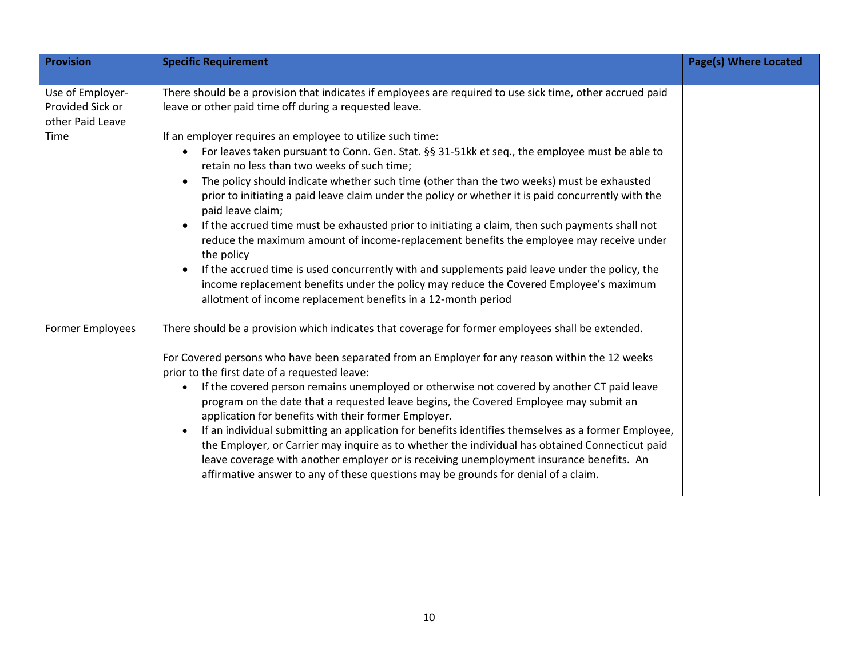| Provision                                                        | <b>Specific Requirement</b>                                                                                                                                                                                                                                                                                                                                                                                                                                                                                                                                                                                                                                                                                                                                                                                                                                                                      | <b>Page(s) Where Located</b> |
|------------------------------------------------------------------|--------------------------------------------------------------------------------------------------------------------------------------------------------------------------------------------------------------------------------------------------------------------------------------------------------------------------------------------------------------------------------------------------------------------------------------------------------------------------------------------------------------------------------------------------------------------------------------------------------------------------------------------------------------------------------------------------------------------------------------------------------------------------------------------------------------------------------------------------------------------------------------------------|------------------------------|
|                                                                  |                                                                                                                                                                                                                                                                                                                                                                                                                                                                                                                                                                                                                                                                                                                                                                                                                                                                                                  |                              |
| Use of Employer-<br>Provided Sick or<br>other Paid Leave<br>Time | There should be a provision that indicates if employees are required to use sick time, other accrued paid<br>leave or other paid time off during a requested leave.<br>If an employer requires an employee to utilize such time:<br>For leaves taken pursuant to Conn. Gen. Stat. §§ 31-51kk et seq., the employee must be able to<br>retain no less than two weeks of such time;<br>The policy should indicate whether such time (other than the two weeks) must be exhausted<br>prior to initiating a paid leave claim under the policy or whether it is paid concurrently with the<br>paid leave claim;<br>If the accrued time must be exhausted prior to initiating a claim, then such payments shall not<br>reduce the maximum amount of income-replacement benefits the employee may receive under<br>the policy                                                                           |                              |
|                                                                  | If the accrued time is used concurrently with and supplements paid leave under the policy, the<br>income replacement benefits under the policy may reduce the Covered Employee's maximum<br>allotment of income replacement benefits in a 12-month period                                                                                                                                                                                                                                                                                                                                                                                                                                                                                                                                                                                                                                        |                              |
| Former Employees                                                 | There should be a provision which indicates that coverage for former employees shall be extended.<br>For Covered persons who have been separated from an Employer for any reason within the 12 weeks<br>prior to the first date of a requested leave:<br>If the covered person remains unemployed or otherwise not covered by another CT paid leave<br>program on the date that a requested leave begins, the Covered Employee may submit an<br>application for benefits with their former Employer.<br>If an individual submitting an application for benefits identifies themselves as a former Employee,<br>the Employer, or Carrier may inquire as to whether the individual has obtained Connecticut paid<br>leave coverage with another employer or is receiving unemployment insurance benefits. An<br>affirmative answer to any of these questions may be grounds for denial of a claim. |                              |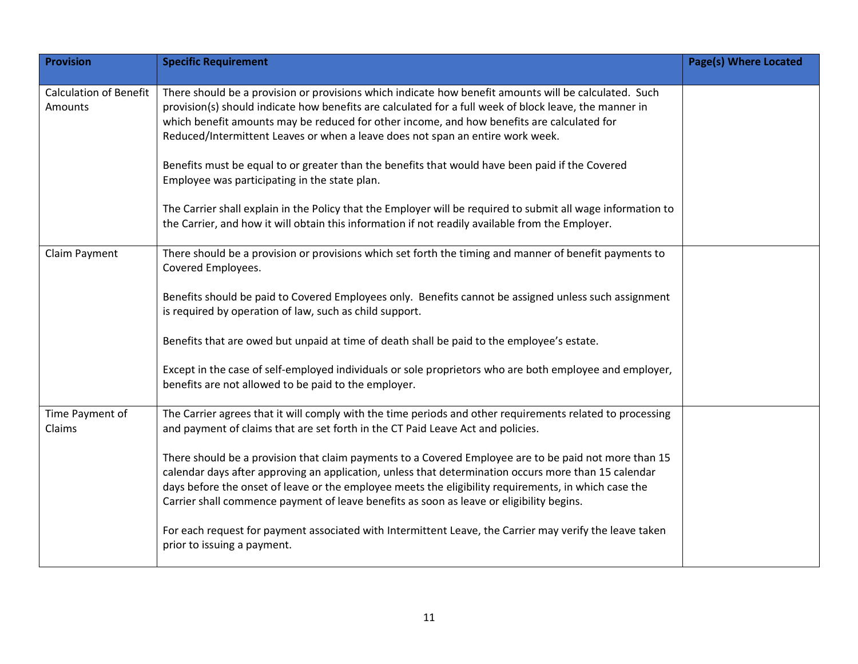| <b>Provision</b>                         | <b>Specific Requirement</b>                                                                                                                                                                                                                                                                                                                                                                                                                                                                                                                                                                                                                                                                                                                                             | <b>Page(s) Where Located</b> |
|------------------------------------------|-------------------------------------------------------------------------------------------------------------------------------------------------------------------------------------------------------------------------------------------------------------------------------------------------------------------------------------------------------------------------------------------------------------------------------------------------------------------------------------------------------------------------------------------------------------------------------------------------------------------------------------------------------------------------------------------------------------------------------------------------------------------------|------------------------------|
| <b>Calculation of Benefit</b><br>Amounts | There should be a provision or provisions which indicate how benefit amounts will be calculated. Such<br>provision(s) should indicate how benefits are calculated for a full week of block leave, the manner in<br>which benefit amounts may be reduced for other income, and how benefits are calculated for<br>Reduced/Intermittent Leaves or when a leave does not span an entire work week.<br>Benefits must be equal to or greater than the benefits that would have been paid if the Covered<br>Employee was participating in the state plan.<br>The Carrier shall explain in the Policy that the Employer will be required to submit all wage information to<br>the Carrier, and how it will obtain this information if not readily available from the Employer. |                              |
| Claim Payment                            | There should be a provision or provisions which set forth the timing and manner of benefit payments to<br>Covered Employees.<br>Benefits should be paid to Covered Employees only. Benefits cannot be assigned unless such assignment<br>is required by operation of law, such as child support.<br>Benefits that are owed but unpaid at time of death shall be paid to the employee's estate.<br>Except in the case of self-employed individuals or sole proprietors who are both employee and employer,<br>benefits are not allowed to be paid to the employer.                                                                                                                                                                                                       |                              |
| Time Payment of<br>Claims                | The Carrier agrees that it will comply with the time periods and other requirements related to processing<br>and payment of claims that are set forth in the CT Paid Leave Act and policies.<br>There should be a provision that claim payments to a Covered Employee are to be paid not more than 15<br>calendar days after approving an application, unless that determination occurs more than 15 calendar<br>days before the onset of leave or the employee meets the eligibility requirements, in which case the<br>Carrier shall commence payment of leave benefits as soon as leave or eligibility begins.<br>For each request for payment associated with Intermittent Leave, the Carrier may verify the leave taken<br>prior to issuing a payment.             |                              |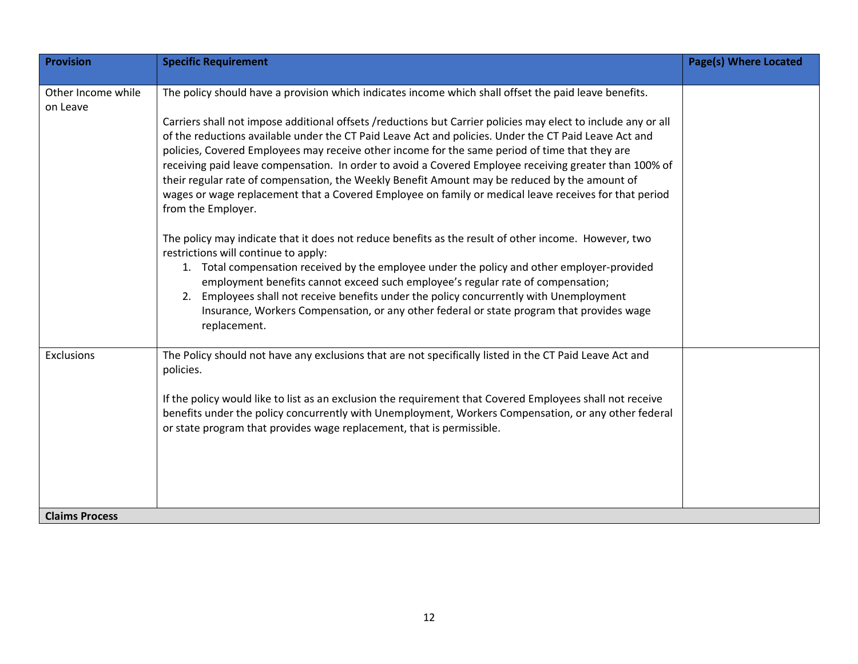| <b>Provision</b>               | <b>Specific Requirement</b>                                                                                                                                                                                                                                                                                                                                                                                                                                                                                                                                                                                                                                        | <b>Page(s) Where Located</b> |
|--------------------------------|--------------------------------------------------------------------------------------------------------------------------------------------------------------------------------------------------------------------------------------------------------------------------------------------------------------------------------------------------------------------------------------------------------------------------------------------------------------------------------------------------------------------------------------------------------------------------------------------------------------------------------------------------------------------|------------------------------|
|                                |                                                                                                                                                                                                                                                                                                                                                                                                                                                                                                                                                                                                                                                                    |                              |
| Other Income while<br>on Leave | The policy should have a provision which indicates income which shall offset the paid leave benefits.                                                                                                                                                                                                                                                                                                                                                                                                                                                                                                                                                              |                              |
|                                | Carriers shall not impose additional offsets /reductions but Carrier policies may elect to include any or all<br>of the reductions available under the CT Paid Leave Act and policies. Under the CT Paid Leave Act and<br>policies, Covered Employees may receive other income for the same period of time that they are<br>receiving paid leave compensation. In order to avoid a Covered Employee receiving greater than 100% of<br>their regular rate of compensation, the Weekly Benefit Amount may be reduced by the amount of<br>wages or wage replacement that a Covered Employee on family or medical leave receives for that period<br>from the Employer. |                              |
|                                | The policy may indicate that it does not reduce benefits as the result of other income. However, two<br>restrictions will continue to apply:<br>1. Total compensation received by the employee under the policy and other employer-provided<br>employment benefits cannot exceed such employee's regular rate of compensation;<br>Employees shall not receive benefits under the policy concurrently with Unemployment<br>2.                                                                                                                                                                                                                                       |                              |
|                                | Insurance, Workers Compensation, or any other federal or state program that provides wage<br>replacement.                                                                                                                                                                                                                                                                                                                                                                                                                                                                                                                                                          |                              |
| Exclusions                     | The Policy should not have any exclusions that are not specifically listed in the CT Paid Leave Act and<br>policies.                                                                                                                                                                                                                                                                                                                                                                                                                                                                                                                                               |                              |
|                                | If the policy would like to list as an exclusion the requirement that Covered Employees shall not receive<br>benefits under the policy concurrently with Unemployment, Workers Compensation, or any other federal<br>or state program that provides wage replacement, that is permissible.                                                                                                                                                                                                                                                                                                                                                                         |                              |
| <b>Claims Process</b>          |                                                                                                                                                                                                                                                                                                                                                                                                                                                                                                                                                                                                                                                                    |                              |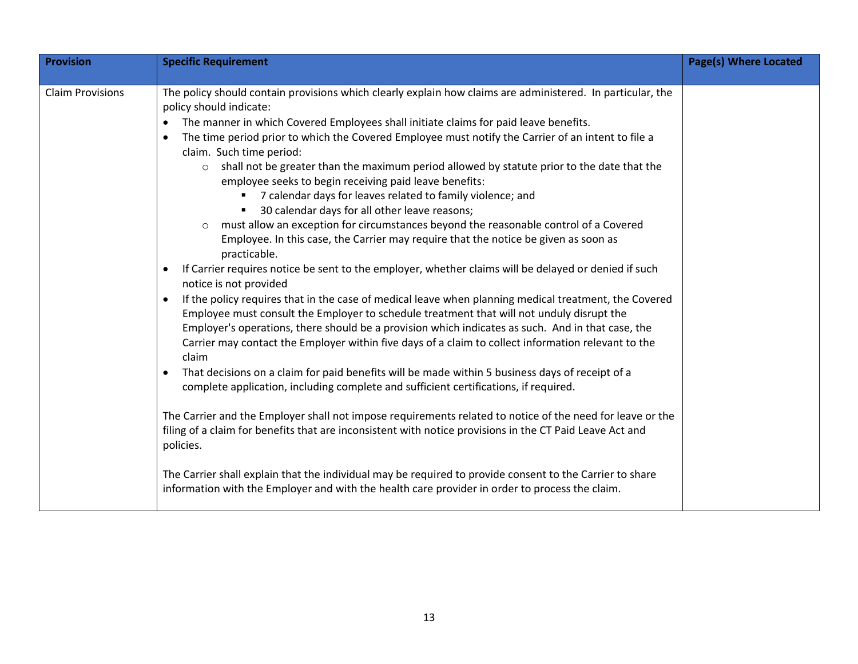| <b>Provision</b>        | <b>Specific Requirement</b>                                                                                                                                                                                                                                                                                                                                                                                             | <b>Page(s) Where Located</b> |
|-------------------------|-------------------------------------------------------------------------------------------------------------------------------------------------------------------------------------------------------------------------------------------------------------------------------------------------------------------------------------------------------------------------------------------------------------------------|------------------------------|
|                         |                                                                                                                                                                                                                                                                                                                                                                                                                         |                              |
| <b>Claim Provisions</b> | The policy should contain provisions which clearly explain how claims are administered. In particular, the<br>policy should indicate:<br>The manner in which Covered Employees shall initiate claims for paid leave benefits.<br>The time period prior to which the Covered Employee must notify the Carrier of an intent to file a                                                                                     |                              |
|                         | claim. Such time period:<br>shall not be greater than the maximum period allowed by statute prior to the date that the<br>$\circ$<br>employee seeks to begin receiving paid leave benefits:<br>7 calendar days for leaves related to family violence; and                                                                                                                                                               |                              |
|                         | 30 calendar days for all other leave reasons;<br>must allow an exception for circumstances beyond the reasonable control of a Covered<br>$\circ$<br>Employee. In this case, the Carrier may require that the notice be given as soon as<br>practicable.                                                                                                                                                                 |                              |
|                         | If Carrier requires notice be sent to the employer, whether claims will be delayed or denied if such<br>notice is not provided                                                                                                                                                                                                                                                                                          |                              |
|                         | If the policy requires that in the case of medical leave when planning medical treatment, the Covered<br>Employee must consult the Employer to schedule treatment that will not unduly disrupt the<br>Employer's operations, there should be a provision which indicates as such. And in that case, the<br>Carrier may contact the Employer within five days of a claim to collect information relevant to the<br>claim |                              |
|                         | That decisions on a claim for paid benefits will be made within 5 business days of receipt of a<br>complete application, including complete and sufficient certifications, if required.                                                                                                                                                                                                                                 |                              |
|                         | The Carrier and the Employer shall not impose requirements related to notice of the need for leave or the<br>filing of a claim for benefits that are inconsistent with notice provisions in the CT Paid Leave Act and<br>policies.                                                                                                                                                                                      |                              |
|                         | The Carrier shall explain that the individual may be required to provide consent to the Carrier to share<br>information with the Employer and with the health care provider in order to process the claim.                                                                                                                                                                                                              |                              |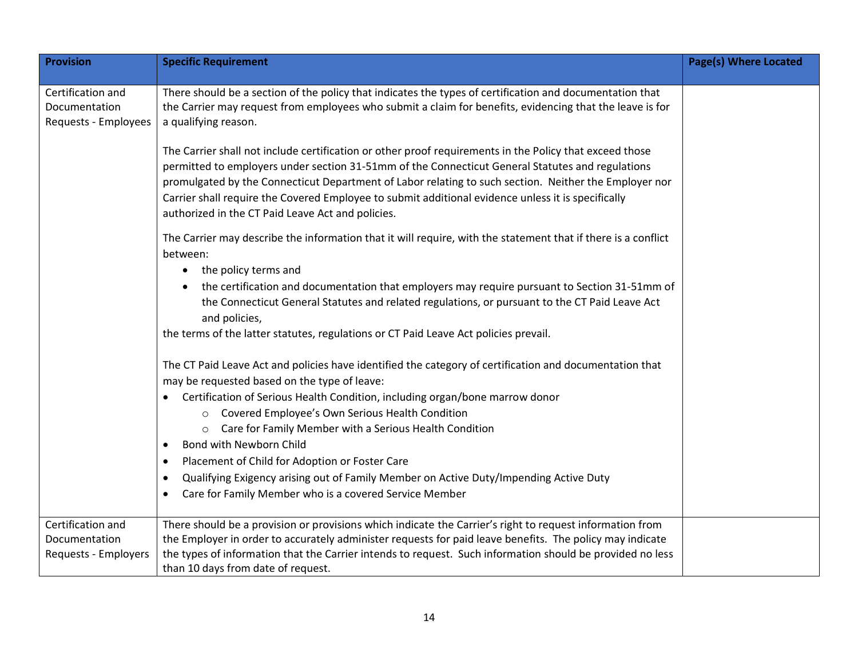| <b>Provision</b>                                           | <b>Specific Requirement</b>                                                                                                                                                                                                                                                                                                                                                                                                                                                     | <b>Page(s) Where Located</b> |
|------------------------------------------------------------|---------------------------------------------------------------------------------------------------------------------------------------------------------------------------------------------------------------------------------------------------------------------------------------------------------------------------------------------------------------------------------------------------------------------------------------------------------------------------------|------------------------------|
| Certification and<br>Documentation<br>Requests - Employees | There should be a section of the policy that indicates the types of certification and documentation that<br>the Carrier may request from employees who submit a claim for benefits, evidencing that the leave is for<br>a qualifying reason.                                                                                                                                                                                                                                    |                              |
|                                                            | The Carrier shall not include certification or other proof requirements in the Policy that exceed those<br>permitted to employers under section 31-51mm of the Connecticut General Statutes and regulations<br>promulgated by the Connecticut Department of Labor relating to such section. Neither the Employer nor<br>Carrier shall require the Covered Employee to submit additional evidence unless it is specifically<br>authorized in the CT Paid Leave Act and policies. |                              |
|                                                            | The Carrier may describe the information that it will require, with the statement that if there is a conflict<br>between:                                                                                                                                                                                                                                                                                                                                                       |                              |
|                                                            | the policy terms and<br>the certification and documentation that employers may require pursuant to Section 31-51mm of<br>the Connecticut General Statutes and related regulations, or pursuant to the CT Paid Leave Act<br>and policies,                                                                                                                                                                                                                                        |                              |
|                                                            | the terms of the latter statutes, regulations or CT Paid Leave Act policies prevail.                                                                                                                                                                                                                                                                                                                                                                                            |                              |
|                                                            | The CT Paid Leave Act and policies have identified the category of certification and documentation that<br>may be requested based on the type of leave:                                                                                                                                                                                                                                                                                                                         |                              |
|                                                            | • Certification of Serious Health Condition, including organ/bone marrow donor<br>Covered Employee's Own Serious Health Condition<br>$\circ$<br>Care for Family Member with a Serious Health Condition<br>$\circ$                                                                                                                                                                                                                                                               |                              |
|                                                            | Bond with Newborn Child                                                                                                                                                                                                                                                                                                                                                                                                                                                         |                              |
|                                                            | Placement of Child for Adoption or Foster Care                                                                                                                                                                                                                                                                                                                                                                                                                                  |                              |
|                                                            | Qualifying Exigency arising out of Family Member on Active Duty/Impending Active Duty<br>Care for Family Member who is a covered Service Member                                                                                                                                                                                                                                                                                                                                 |                              |
| Certification and<br>Documentation<br>Requests - Employers | There should be a provision or provisions which indicate the Carrier's right to request information from<br>the Employer in order to accurately administer requests for paid leave benefits. The policy may indicate<br>the types of information that the Carrier intends to request. Such information should be provided no less<br>than 10 days from date of request.                                                                                                         |                              |